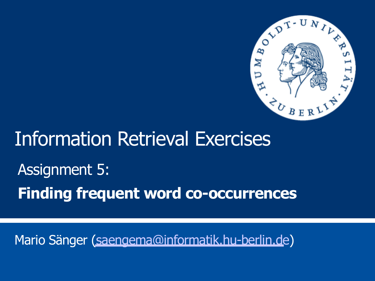

# Information Retrieval Exercises Assignment 5: **Finding frequent word co-occurrences**

Mario Sänger [\(saengema@informatik.hu-berlin.de\)](mailto:saengema@informatik.hu-berlin.de)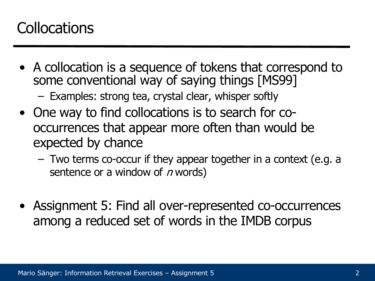# **Collocations**

• A collocation is a sequence of tokens that correspond to some conventional way of saying things [MS99]

– Examples: strong tea, crystal clear, whisper softly

- One way to find collocations is to search for cooccurrences that appear more often than would be expected by chance
	- Two terms co-occur if they appear together in a context (e.g. a sentence or a window of  $n$  words)
- Assignment 5: Find all over-represented co-occurrences among a reduced set of words in the IMDB corpus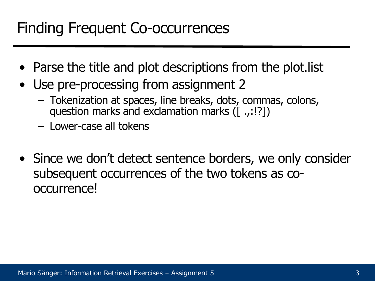# Finding Frequent Co-occurrences

- Parse the title and plot descriptions from the plot. list
- Use pre-processing from assignment 2
	- Tokenization at spaces, line breaks, dots, commas, colons, question marks and exclamation marks ([...!?])
	- Lower-case all tokens
- Since we don't detect sentence borders, we only consider subsequent occurrences of the two tokens as cooccurrence!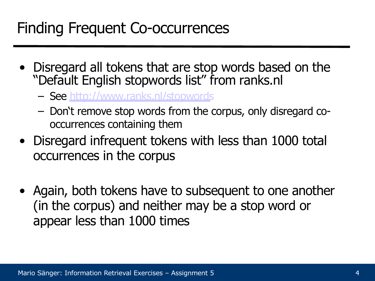# Finding Frequent Co-occurrences

- Disregard all tokens that are stop words based on the "Default English stopwords list" from ranks.nl
	- See<http://www.ranks.nl/stopwords>
	- Don't remove stop words from the corpus, only disregard cooccurrences containing them
- Disregard infrequent tokens with less than 1000 total occurrences in the corpus
- Again, both tokens have to subsequent to one another (in the corpus) and neither may be a stop word or appear less than 1000 times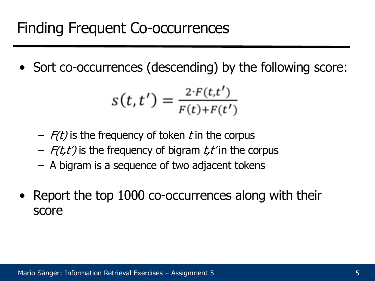• Sort co-occurrences (descending) by the following score:

$$
s(t, t') = \frac{2 \cdot F(t, t')}{F(t) + F(t')}
$$

- $F(t)$  is the frequency of token t in the corpus
- $-$  F(t,t') is the frequency of bigram t,t' in the corpus
- A bigram is a sequence of two adjacent tokens
- Report the top 1000 co-occurrences along with their score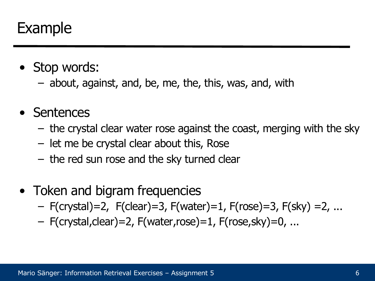#### Example

- Stop words:
	- about, against, and, be, me, the, this, was, and, with
- Sentences
	- the crystal clear water rose against the coast, merging with the sky
	- let me be crystal clear about this, Rose
	- the red sun rose and the sky turned clear
- Token and bigram frequencies
	- F(crystal)=2, F(clear)=3, F(water)=1, F(rose)=3, F(sky) =2, ...
	- F(crystal,clear)=2, F(water,rose)=1, F(rose,sky)=0, ...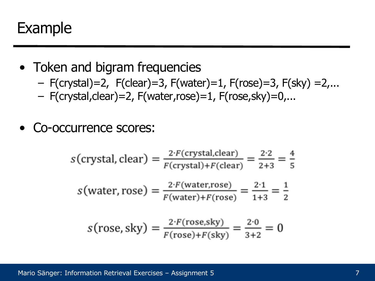#### Example

- Token and bigram frequencies
	- $-$  F(crystal)=2, F(clear)=3, F(water)=1, F(rose)=3, F(sky) =2,...
	- $-$  F(crystal, clear) = 2, F(water, rose) = 1, F(rose, sky) =  $0, \ldots$
- Co-occurrence scores:

$$
s(\text{crystal, clear}) = \frac{2 \cdot F(\text{crystal, clear})}{F(\text{crystal}) + F(\text{clear})} = \frac{2 \cdot 2}{2 + 3} = \frac{4}{5}
$$

$$
s(\text{water, rose}) = \frac{2 \cdot F(\text{water,rose})}{F(\text{water}) + F(\text{rose})} = \frac{2 \cdot 1}{1 + 3} = \frac{1}{2}
$$

$$
s(\text{rose, sky}) = \frac{2 \cdot F(\text{rose, sky})}{F(\text{rose}) + F(\text{sky})} = \frac{2 \cdot 0}{3 + 2} = 0
$$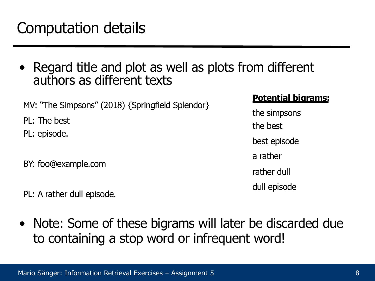# Computation details

Regard title and plot as well as plots from different authors as different texts

MV: "The Simpsons" (2018) {Springfield Splendor}

PL: The best

PL: episode.

BY: foo@example.com

PL: A rather dull episode.

#### **Potential bigrams:**

the simpsons the best best episode a rather rather dull dull episode

• Note: Some of these bigrams will later be discarded due to containing a stop word or infrequent word!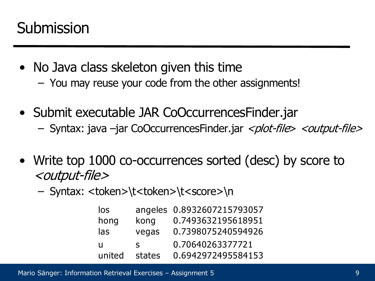### **Submission**

- No Java class skeleton given this time – You may reuse your code from the other assignments!
- Submit executable JAR CoOccurrences Finder.jar
	- Syntax: java –jar CoOccurrencesFinder.jar <plot-file> <output-file>
- Write top 1000 co-occurrences sorted (desc) by score to <output-file>
	- Syntax: <token>\t<token>\t<score>\n

| los    |              | angeles 0.8932607215793057 |
|--------|--------------|----------------------------|
| hong   | kong         | 0.7493632195618951         |
| las    | vegas        | 0.7398075240594926         |
| п      | $\mathbf{S}$ | 0.70640263377721           |
| united | states       | 0.6942972495584153         |

Mario Sänger: Information Retrieval Exercises – Assignment 5 9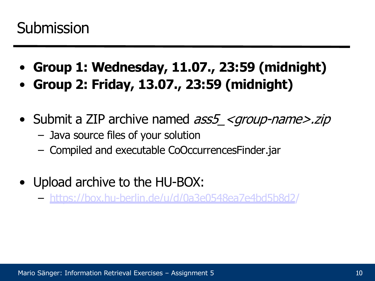### **Submission**

- **Group 1: Wednesday, 11.07., 23:59 (midnight)**
- **Group 2: Friday, 13.07., 23:59 (midnight)**
- Submit a ZIP archive named ass5 < group-name >.zip
	- Java source files of your solution
	- Compiled and executable CoOccurrencesFinder.jar
- Upload archive to the HU-BOX:
	- <https://box.hu-berlin.de/u/d/0a3e0548ea7e4bd5b8d2/>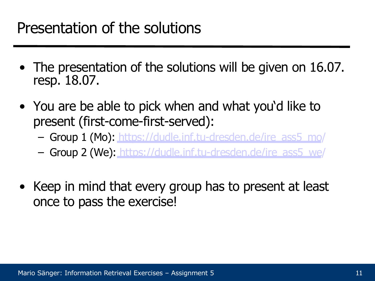#### Presentation of the solutions

- The presentation of the solutions will be given on 16.07. resp. 18.07.
- You are be able to pick when and what you'd like to present (first-come-first-served):
	- Group 1 (Mo): [https://dudle.inf.tu-dresden.de/ire\\_ass5\\_mo/](https://dudle.inf.tu-dresden.de/ire_ass5_mo/)
	- Group 2 (We): [https://dudle.inf.tu-dresden.de/ire\\_ass5\\_we/](https://dudle.inf.tu-dresden.de/ire_ass5_we/)
- Keep in mind that every group has to present at least once to pass the exercise!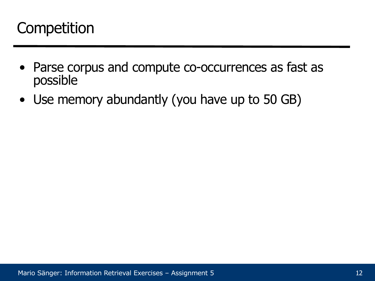# **Competition**

- Parse corpus and compute co-occurrences as fast as possible
- Use memory abundantly (you have up to 50 GB)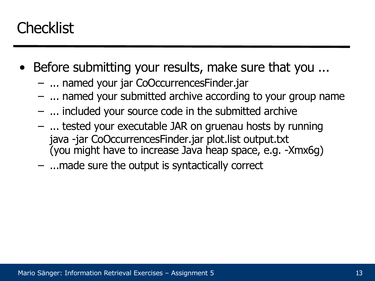# **Checklist**

- Before submitting your results, make sure that you ...
	- ... named your jar CoOccurrencesFinder.jar
	- ... named your submitted archive according to your group name
	- ... included your source code in the submitted archive
	- ... tested your executable JAR on gruenau hosts by running java -jar CoOccurrencesFinder.jar plot.list output.txt (you might have to increase Java heap space, e.g. -Xmx6g)
	- ...made sure the output is syntactically correct